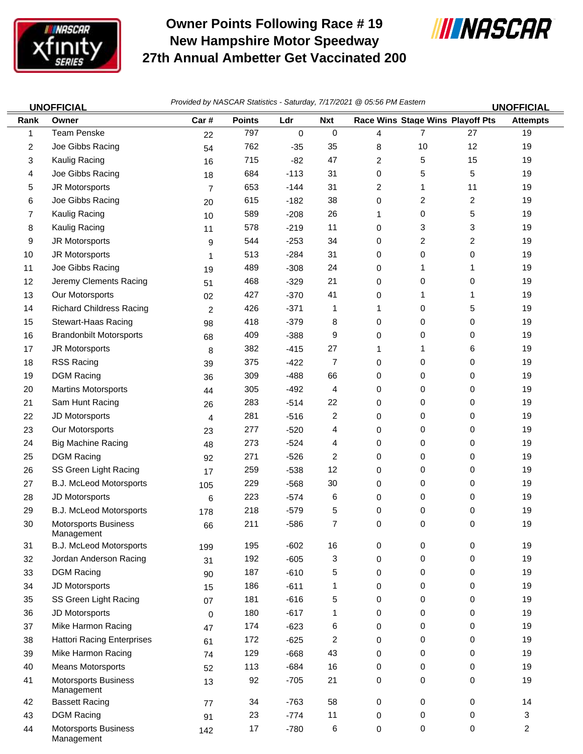

## **Owner Points Following Race # 19 New Hampshire Motor Speedway 27th Annual Ambetter Get Vaccinated 200**



|      | <b>UNOFFICIAL</b>                         | Provided by NASCAR Statistics - Saturday, 7/17/2021 @ 05:56 PM Eastern |               |        |            |   |                |                                  | <b>UNOFFICIAL</b> |  |
|------|-------------------------------------------|------------------------------------------------------------------------|---------------|--------|------------|---|----------------|----------------------------------|-------------------|--|
| Rank | Owner                                     | Car#                                                                   | <b>Points</b> | Ldr    | <b>Nxt</b> |   |                | Race Wins Stage Wins Playoff Pts | <b>Attempts</b>   |  |
| 1    | <b>Team Penske</b>                        | 22                                                                     | 797           | 0      | 0          | 4 | 7              | 27                               | 19                |  |
| 2    | Joe Gibbs Racing                          | 54                                                                     | 762           | $-35$  | 35         | 8 | 10             | 12                               | 19                |  |
| 3    | Kaulig Racing                             | 16                                                                     | 715           | $-82$  | 47         | 2 | 5              | 15                               | 19                |  |
| 4    | Joe Gibbs Racing                          | 18                                                                     | 684           | $-113$ | 31         | 0 | 5              | 5                                | 19                |  |
| 5    | JR Motorsports                            | $\overline{7}$                                                         | 653           | $-144$ | 31         | 2 | 1              | 11                               | 19                |  |
| 6    | Joe Gibbs Racing                          | 20                                                                     | 615           | $-182$ | 38         | 0 | $\overline{2}$ | 2                                | 19                |  |
| 7    | Kaulig Racing                             | 10                                                                     | 589           | $-208$ | 26         | 1 | 0              | 5                                | 19                |  |
| 8    | Kaulig Racing                             | 11                                                                     | 578           | $-219$ | 11         | 0 | 3              | 3                                | 19                |  |
| 9    | JR Motorsports                            | 9                                                                      | 544           | $-253$ | 34         | 0 | 2              | 2                                | 19                |  |
| 10   | JR Motorsports                            | 1                                                                      | 513           | $-284$ | 31         | 0 | 0              | 0                                | 19                |  |
| 11   | Joe Gibbs Racing                          | 19                                                                     | 489           | $-308$ | 24         | 0 | 1              | 1                                | 19                |  |
| 12   | Jeremy Clements Racing                    | 51                                                                     | 468           | $-329$ | 21         | 0 | 0              | 0                                | 19                |  |
| 13   | Our Motorsports                           | 02                                                                     | 427           | $-370$ | 41         | 0 | 1              | 1                                | 19                |  |
| 14   | <b>Richard Childress Racing</b>           | $\overline{c}$                                                         | 426           | $-371$ | 1          | 1 | 0              | 5                                | 19                |  |
| 15   | Stewart-Haas Racing                       | 98                                                                     | 418           | $-379$ | 8          | 0 | 0              | 0                                | 19                |  |
| 16   | <b>Brandonbilt Motorsports</b>            | 68                                                                     | 409           | $-388$ | 9          | 0 | 0              | 0                                | 19                |  |
| 17   | JR Motorsports                            | 8                                                                      | 382           | $-415$ | 27         | 1 | 1              | 6                                | 19                |  |
| 18   | RSS Racing                                | 39                                                                     | 375           | $-422$ | 7          | 0 | 0              | 0                                | 19                |  |
| 19   | <b>DGM Racing</b>                         | 36                                                                     | 309           | $-488$ | 66         | 0 | 0              | 0                                | 19                |  |
| 20   | <b>Martins Motorsports</b>                | 44                                                                     | 305           | $-492$ | 4          | 0 | 0              | 0                                | 19                |  |
| 21   | Sam Hunt Racing                           | 26                                                                     | 283           | $-514$ | 22         | 0 | 0              | 0                                | 19                |  |
| 22   | JD Motorsports                            | 4                                                                      | 281           | $-516$ | 2          | 0 | 0              | 0                                | 19                |  |
| 23   | Our Motorsports                           | 23                                                                     | 277           | $-520$ | 4          | 0 | 0              | 0                                | 19                |  |
| 24   | <b>Big Machine Racing</b>                 | 48                                                                     | 273           | $-524$ | 4          | 0 | 0              | 0                                | 19                |  |
| 25   | <b>DGM Racing</b>                         | 92                                                                     | 271           | $-526$ | 2          | 0 | 0              | 0                                | 19                |  |
| 26   | SS Green Light Racing                     | 17                                                                     | 259           | $-538$ | 12         | 0 | 0              | 0                                | 19                |  |
| 27   | B.J. McLeod Motorsports                   | 105                                                                    | 229           | $-568$ | 30         | 0 | 0              | 0                                | 19                |  |
| 28   | JD Motorsports                            | 6                                                                      | 223           | $-574$ | 6          | 0 | 0              | 0                                | 19                |  |
| 29   | B.J. McLeod Motorsports                   | 178                                                                    | 218           | $-579$ | 5          | 0 | 0              | 0                                | 19                |  |
| 30   | Motorsports Business<br>Management        | 66                                                                     | 211           | -586   | 7          | 0 | 0              | 0                                | 19                |  |
| 31   | B.J. McLeod Motorsports                   | 199                                                                    | 195           | $-602$ | 16         | 0 | 0              | 0                                | 19                |  |
| 32   | Jordan Anderson Racing                    | 31                                                                     | 192           | $-605$ | 3          | 0 | 0              | 0                                | 19                |  |
| 33   | <b>DGM Racing</b>                         | 90                                                                     | 187           | $-610$ | 5          | 0 | 0              | 0                                | 19                |  |
| 34   | JD Motorsports                            | 15                                                                     | 186           | $-611$ | 1          | 0 | 0              | 0                                | 19                |  |
| 35   | SS Green Light Racing                     | 07                                                                     | 181           | $-616$ | 5          | 0 | 0              | 0                                | 19                |  |
| 36   | JD Motorsports                            | 0                                                                      | 180           | $-617$ | 1          | 0 | 0              | 0                                | 19                |  |
| 37   | Mike Harmon Racing                        | 47                                                                     | 174           | $-623$ | 6          | 0 | 0              | 0                                | 19                |  |
| 38   | <b>Hattori Racing Enterprises</b>         | 61                                                                     | 172           | $-625$ | 2          | 0 | 0              | 0                                | 19                |  |
| 39   | Mike Harmon Racing                        | 74                                                                     | 129           | $-668$ | 43         | 0 | 0              | 0                                | 19                |  |
| 40   | <b>Means Motorsports</b>                  | 52                                                                     | 113           | $-684$ | 16         | 0 | 0              | 0                                | 19                |  |
| 41   | <b>Motorsports Business</b><br>Management | 13                                                                     | 92            | $-705$ | 21         | 0 | 0              | 0                                | 19                |  |
| 42   | <b>Bassett Racing</b>                     | 77                                                                     | 34            | $-763$ | 58         | 0 | 0              | 0                                | 14                |  |
| 43   | <b>DGM Racing</b>                         | 91                                                                     | 23            | $-774$ | 11         | 0 | 0              | 0                                | 3                 |  |
| 44   | <b>Motorsports Business</b><br>Management | 142                                                                    | 17            | $-780$ | 6          | 0 | 0              | $\pmb{0}$                        | $\overline{2}$    |  |